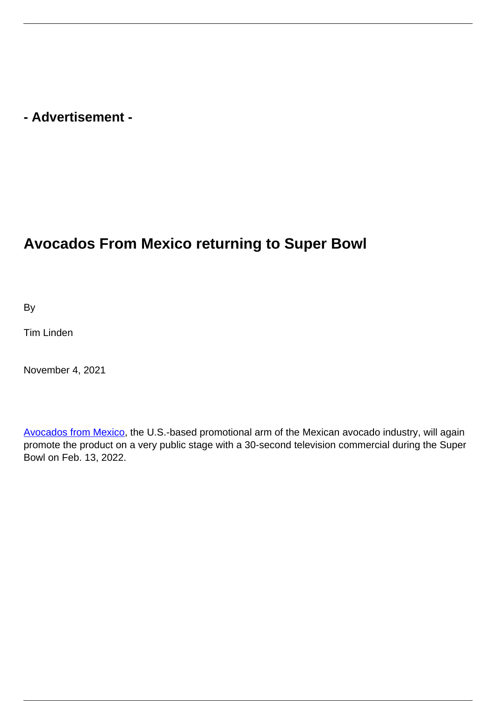## **- Advertisement -**

## **Avocados From Mexico returning to Super Bowl**

By

Tim Linden

November 4, 2021

[Avocados from Mexico,](https://avocadosfrommexico.com/avocados/brand-gm/?/?utm_source=google&utm_medium=sem&utm_campaign=ro2/general_market/brand/fy22/brand_campaign/trafic/sem_adavocado&utm_id=1188&gclid=CjwKCAjwiY6MBhBqEiwARFSCPkTl82D-mxplzdTi9itp0sRVmen0t2jJT-4j5bBu_sdYPSHzH454nxoCJc0QAvD_BwE) the U.S.-based promotional arm of the Mexican avocado industry, will again promote the product on a very public stage with a 30-second television commercial during the Super Bowl on Feb. 13, 2022.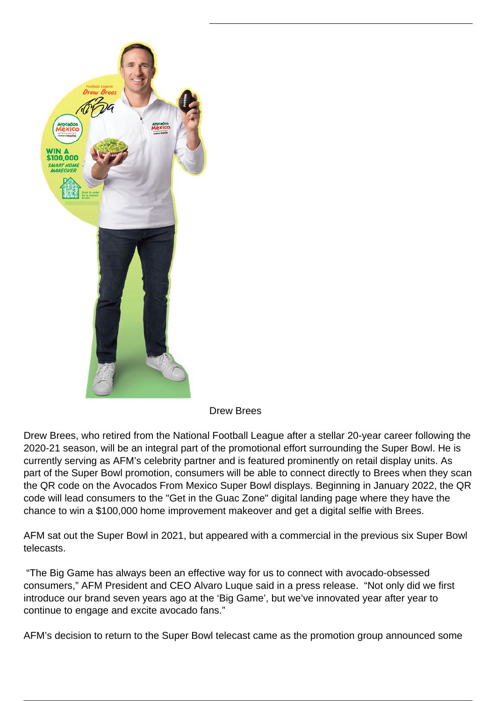

Drew Brees

Drew Brees, who retired from the National Football League after a stellar 20-year career following the 2020-21 season, will be an integral part of the promotional effort surrounding the Super Bowl. He is currently serving as AFM's celebrity partner and is featured prominently on retail display units. As part of the Super Bowl promotion, consumers will be able to connect directly to Brees when they scan the QR code on the Avocados From Mexico Super Bowl displays. Beginning in January 2022, the QR code will lead consumers to the "Get in the Guac Zone" digital landing page where they have the chance to win a \$100,000 home improvement makeover and get a digital selfie with Brees.

AFM sat out the Super Bowl in 2021, but appeared with a commercial in the previous six Super Bowl telecasts.

 "The Big Game has always been an effective way for us to connect with avocado-obsessed consumers," AFM President and CEO Alvaro Luque said in a press release. "Not only did we first introduce our brand seven years ago at the 'Big Game', but we've innovated year after year to continue to engage and excite avocado fans."

AFM's decision to return to the Super Bowl telecast came as the promotion group announced some